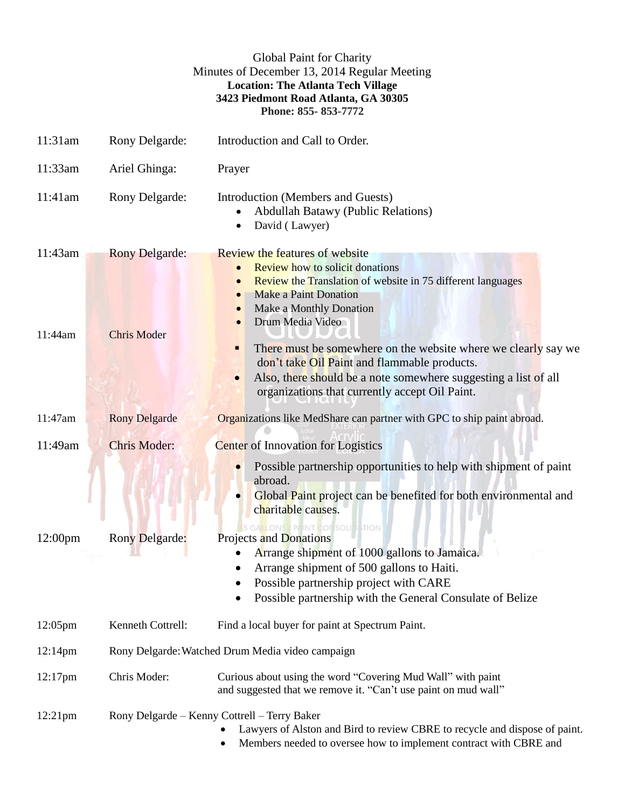|                     |                                             | <b>Global Paint for Charity</b><br>Minutes of December 13, 2014 Regular Meeting<br><b>Location: The Atlanta Tech Village</b><br>3423 Piedmont Road Atlanta, GA 30305<br>Phone: 855-853-7772                                                                                                                                                                                                                                                                                                                |
|---------------------|---------------------------------------------|------------------------------------------------------------------------------------------------------------------------------------------------------------------------------------------------------------------------------------------------------------------------------------------------------------------------------------------------------------------------------------------------------------------------------------------------------------------------------------------------------------|
| 11:31am             | Rony Delgarde:                              | Introduction and Call to Order.                                                                                                                                                                                                                                                                                                                                                                                                                                                                            |
| 11:33am             | Ariel Ghinga:                               | Prayer                                                                                                                                                                                                                                                                                                                                                                                                                                                                                                     |
| 11:41am             | Rony Delgarde:                              | Introduction (Members and Guests)<br><b>Abdullah Batawy (Public Relations)</b><br>David (Lawyer)                                                                                                                                                                                                                                                                                                                                                                                                           |
| 11:43am<br>11:44am  | <b>Rony Delgarde:</b><br><b>Chris Moder</b> | <b>Review the features of website</b><br><b>Review how to solicit donations</b><br><b>Review the Translation of website in 75 different languages</b><br>$\bullet$<br><b>Make a Paint Donation</b><br>Make a Monthly Donation<br>Drum Media Video<br>There must be somewhere on the website where we clearly say we<br>Ξ<br>don't take Oil Paint and flammable products.<br>Also, there should be a note somewhere suggesting a list of all<br>$\bullet$<br>organizations that currently accept Oil Paint. |
| 11:47am             | <b>Rony Delgarde</b>                        | Organizations like MedShare can partner with GPC to ship paint abroad.                                                                                                                                                                                                                                                                                                                                                                                                                                     |
| 11:49am             | <b>Chris Moder:</b>                         | <b>Center</b> of Innovation for Logistics                                                                                                                                                                                                                                                                                                                                                                                                                                                                  |
| 12:00 <sub>pm</sub> | <b>Rony Delgarde:</b>                       | Possible partnership opportunities to help with shipment of paint<br>abroad.<br>Global Paint project can be benefited for both environmental and<br>charitable causes.<br>5 GALLONS / PAINT CONSOLIDATION<br>Projects and Donations<br>Arrange shipment of 1000 gallons to Jamaica.<br>Arrange shipment of 500 gallons to Haiti.<br>Possible partnership project with CARE<br>Possible partnership with the General Consulate of Belize                                                                    |
| $12:05$ pm          | Kenneth Cottrell:                           | Find a local buyer for paint at Spectrum Paint.                                                                                                                                                                                                                                                                                                                                                                                                                                                            |
| 12:14pm             |                                             | Rony Delgarde: Watched Drum Media video campaign                                                                                                                                                                                                                                                                                                                                                                                                                                                           |
| $12:17$ pm          | Chris Moder:                                | Curious about using the word "Covering Mud Wall" with paint<br>and suggested that we remove it. "Can't use paint on mud wall"                                                                                                                                                                                                                                                                                                                                                                              |
| $12:21$ pm          |                                             | Rony Delgarde – Kenny Cottrell – Terry Baker<br>Lawyers of Alston and Bird to review CBRE to recycle and dispose of paint.<br>Members needed to oversee how to implement contract with CBRE and                                                                                                                                                                                                                                                                                                            |